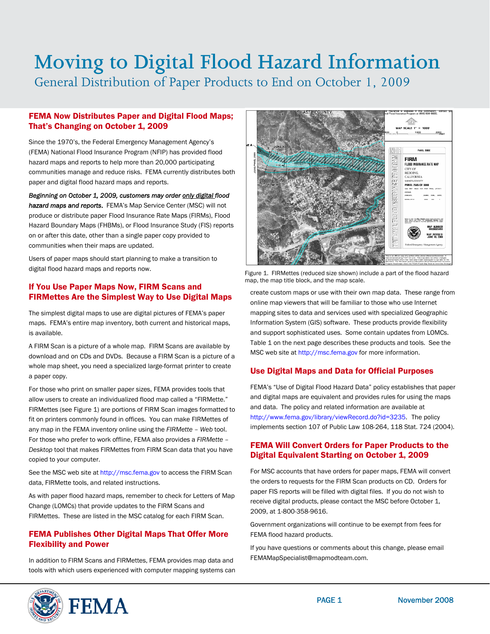# Moving to Digital Flood Hazard Information

General Distribution of Paper Products to End on October 1, 2009

### FEMA Now Distributes Paper and Digital Flood Maps; That's Changing on October 1, 2009

Since the 1970's, the Federal Emergency Management Agency's (FEMA) National Flood Insurance Program (NFIP) has provided flood hazard maps and reports to help more than 20,000 participating communities manage and reduce risks. FEMA currently distributes both paper and digital flood hazard maps and reports.

*Beginning on October 1, 2009, customers may order only digital flood hazard maps and reports*. FEMA's Map Service Center (MSC) will not produce or distribute paper Flood Insurance Rate Maps (FIRMs), Flood Hazard Boundary Maps (FHBMs), or Flood Insurance Study (FIS) reports on or after this date, other than a single paper copy provided to communities when their maps are updated.

Users of paper maps should start planning to make a transition to digital flood hazard maps and reports now.<br>Figure 1. FIRMettes (reduced size shown) include a part of the flood hazard

#### If You Use Paper Maps Now, FIRM Scans and FIRMettes Are the Simplest Way to Use Digital Maps

The simplest digital maps to use are digital pictures of FEMA's paper maps. FEMA's entire map inventory, both current and historical maps, is available.

A FIRM Scan is a picture of a whole map. FIRM Scans are available by download and on CDs and DVDs. Because a FIRM Scan is a picture of a whole map sheet, you need a specialized large-format printer to create a paper copy.

For those who print on smaller paper sizes, FEMA provides tools that allow users to create an individualized flood map called a "FIRMette." FIRMettes (see Figure 1) are portions of FIRM Scan images formatted to fit on printers commonly found in offices. You can make FIRMettes of any map in the FEMA inventory online using the *FIRMette – Web* tool. For those who prefer to work offline, FEMA also provides a *FIRMette – Desktop* tool that makes FIRMettes from FIRM Scan data that you have copied to your computer.

See the MSC web site at [http://msc.fema.gov](http://msc.fema.gov/) to access the FIRM Scan data, FIRMette tools, and related instructions.

As with paper flood hazard maps, remember to check for Letters of Map Change (LOMCs) that provide updates to the FIRM Scans and FIRMettes. These are listed in the MSC catalog for each FIRM Scan.

## FEMA Publishes Other Digital Maps That Offer More Flexibility and Power

In addition to FIRM Scans and FIRMettes, FEMA provides map data and tools with which users experienced with computer mapping systems can



map, the map title block, and the map scale.

create custom maps or use with their own map data. These range from online map viewers that will be familiar to those who use Internet mapping sites to data and services used with specialized Geographic Information System (GIS) software. These products provide flexibility and support sophisticated uses. Some contain updates from LOMCs. Table 1 on the next page describes these products and tools. See the MSC web site at [http://msc.fema.gov](http://msc.fema.gov/) for more information.

# Use Digital Maps and Data for Official Purposes

FEMA's "Use of Digital Flood Hazard Data" policy establishes that paper and digital maps are equivalent and provides rules for using the maps and data. The policy and related information are available at <http://www.fema.gov/library/viewRecord.do?id=3235>. The policy implements section 107 of Public Law 108-264, 118 Stat. 724 (2004).

#### FEMA Will Convert Orders for Paper Products to the Digital Equivalent Starting on October 1, 2009

For MSC accounts that have orders for paper maps, FEMA will convert the orders to requests for the FIRM Scan products on CD. Orders for paper FIS reports will be filled with digital files. If you do not wish to receive digital products, please contact the MSC before October 1, 2009, at 1-800-358-9616.

Government organizations will continue to be exempt from fees for FEMA flood hazard products.

If you have questions or comments about this change, please email FEMAMapSpecialist@mapmodteam.com.